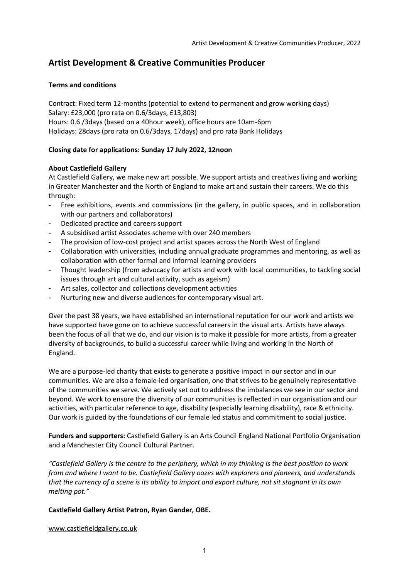## **Artist Development & Creative Communities Producer**

### **Terms and conditions**

Contract: Fixed term 12-months (potential to extend to permanent and grow working days) Salary: £23,000 (pro rata on 0.6/3days, £13,803) Hours: 0.6 /3days (based on a 40hour week), office hours are 10am-6pm Holidays: 28days (pro rata on 0.6/3days, 17days) and pro rata Bank Holidays

## **Closing date for applications: Sunday 17 July 2022, 12noon**

### **About Castlefield Gallery**

At Castlefield Gallery, we make new art possible. We support artists and creatives living and working in Greater Manchester and the North of England to make art and sustain their careers. We do this through:

- Free exhibitions, events and commissions (in the gallery, in public spaces, and in collaboration with our partners and collaborators)
- Dedicated practice and careers support
- A subsidised artist Associates scheme with over 240 members
- The provision of low-cost project and artist spaces across the North West of England
- Collaboration with universities, including annual graduate programmes and mentoring, as well as collaboration with other formal and informal learning providers
- Thought leadership (from advocacy for artists and work with local communities, to tackling social issues through art and cultural activity, such as ageism)
- Art sales, collector and collections development activities
- Nurturing new and diverse audiences for contemporary visual art.

Over the past 38 years, we have established an international reputation for our work and artists we have supported have gone on to achieve successful careers in the visual arts. Artists have always been the focus of all that we do, and our vision is to make it possible for more artists, from a greater diversity of backgrounds, to build a successful career while living and working in the North of England.

We are a purpose-led charity that exists to generate a positive impact in our sector and in our communities. We are also a female-led organisation, one that strives to be genuinely representative of the communities we serve. We actively set out to address the imbalances we see in our sector and beyond. We work to ensure the diversity of our communities is reflected in our organisation and our activities, with particular reference to age, disability (especially learning disability), race & ethnicity. Our work is guided by the foundations of our female led status and commitment to social justice.

**Funders and supporters:** Castlefield Gallery is an Arts Council England National Portfolio Organisation and a Manchester City Council Cultural Partner.

*"Castlefield Gallery is the centre to the periphery, which in my thinking is the best position to work from and where I want to be. Castlefield Gallery oozes with explorers and pioneers, and understands that the currency of a scene is its ability to import and export culture, not sit stagnant in its own melting pot."* 

#### **Castlefield Gallery Artist Patron, Ryan Gander, OBE.**

www.castlefieldgallery.co.uk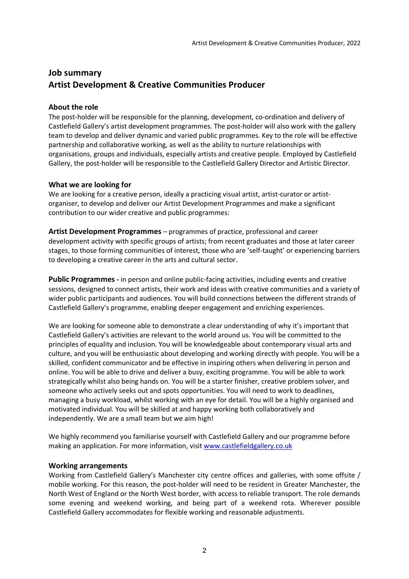# **Job summary Artist Development & Creative Communities Producer**

## **About the role**

The post-holder will be responsible for the planning, development, co-ordination and delivery of Castlefield Gallery's artist development programmes. The post-holder will also work with the gallery team to develop and deliver dynamic and varied public programmes. Key to the role will be effective partnership and collaborative working, as well as the ability to nurture relationships with organisations, groups and individuals, especially artists and creative people. Employed by Castlefield Gallery, the post-holder will be responsible to the Castlefield Gallery Director and Artistic Director.

## **What we are looking for**

We are looking for a creative person, ideally a practicing visual artist, artist-curator or artistorganiser, to develop and deliver our Artist Development Programmes and make a significant contribution to our wider creative and public programmes:

**Artist Development Programmes** – programmes of practice, professional and career development activity with specific groups of artists; from recent graduates and those at later career stages, to those forming communities of interest, those who are 'self-taught' or experiencing barriers to developing a creative career in the arts and cultural sector.

**Public Programmes -** in person and online public-facing activities, including events and creative sessions, designed to connect artists, their work and ideas with creative communities and a variety of wider public participants and audiences. You will build connections between the different strands of Castlefield Gallery's programme, enabling deeper engagement and enriching experiences.

We are looking for someone able to demonstrate a clear understanding of why it's important that Castlefield Gallery's activities are relevant to the world around us. You will be committed to the principles of equality and inclusion. You will be knowledgeable about contemporary visual arts and culture, and you will be enthusiastic about developing and working directly with people. You will be a skilled, confident communicator and be effective in inspiring others when delivering in person and online. You will be able to drive and deliver a busy, exciting programme. You will be able to work strategically whilst also being hands on. You will be a starter finisher, creative problem solver, and someone who actively seeks out and spots opportunities. You will need to work to deadlines, managing a busy workload, whilst working with an eye for detail. You will be a highly organised and motivated individual. You will be skilled at and happy working both collaboratively and independently. We are a small team but we aim high!

We highly recommend you familiarise yourself with Castlefield Gallery and our programme before making an application. For more information, visit www.castlefieldgallery.co.uk

## **Working arrangements**

Working from Castlefield Gallery's Manchester city centre offices and galleries, with some offsite / mobile working. For this reason, the post-holder will need to be resident in Greater Manchester, the North West of England or the North West border, with access to reliable transport. The role demands some evening and weekend working, and being part of a weekend rota. Wherever possible Castlefield Gallery accommodates for flexible working and reasonable adjustments.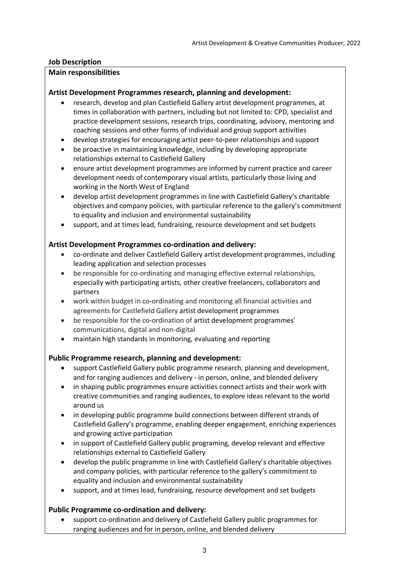## **Job Description**

### **Main responsibilities**

## **Artist Development Programmes research, planning and development:**

- research, develop and plan Castlefield Gallery artist development programmes, at times in collaboration with partners, including but not limited to: CPD, specialist and practice development sessions, research trips, coordinating, advisory, mentoring and coaching sessions and other forms of individual and group support activities
- develop strategies for encouraging artist peer-to-peer relationships and support
- be proactive in maintaining knowledge, including by developing appropriate relationships external to Castlefield Gallery
- ensure artist development programmes are informed by current practice and career development needs of contemporary visual artists, particularly those living and working in the North West of England
- develop artist development programmes in line with Castlefield Gallery's charitable objectives and company policies, with particular reference to the gallery's commitment to equality and inclusion and environmental sustainability
- support, and at times lead, fundraising, resource development and set budgets

## **Artist Development Programmes co-ordination and delivery:**

- co-ordinate and deliver Castlefield Gallery artist development programmes, including leading application and selection processes
- be responsible for co-ordinating and managing effective external relationships, especially with participating artists, other creative freelancers, collaborators and partners
- work within budget in co-ordinating and monitoring all financial activities and agreements for Castlefield Gallery artist development programmes
- be responsible for the co-ordination of artist development programmes' communications, digital and non-digital
- maintain high standards in monitoring, evaluating and reporting

## **Public Programme research, planning and development:**

- support Castlefield Gallery public programme research, planning and development, and for ranging audiences and delivery - in person, online, and blended delivery
- in shaping public programmes ensure activities connect artists and their work with creative communities and ranging audiences, to explore ideas relevant to the world around us
- in developing public programme build connections between different strands of Castlefield Gallery's programme, enabling deeper engagement, enriching experiences and growing active participation
- in support of Castlefield Gallery public programing, develop relevant and effective relationships external to Castlefield Gallery
- develop the public programme in line with Castlefield Gallery's charitable objectives and company policies, with particular reference to the gallery's commitment to equality and inclusion and environmental sustainability
- support, and at times lead, fundraising, resource development and set budgets

## **Public Programme co-ordination and delivery:**

• support co-ordination and delivery of Castlefield Gallery public programmes for ranging audiences and for in person, online, and blended delivery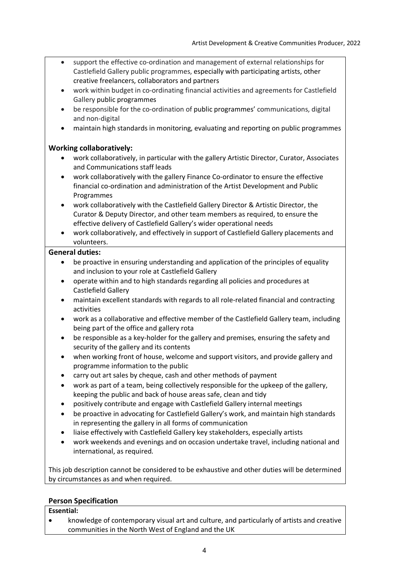- support the effective co-ordination and management of external relationships for Castlefield Gallery public programmes, especially with participating artists, other creative freelancers, collaborators and partners
- work within budget in co-ordinating financial activities and agreements for Castlefield Gallery public programmes
- be responsible for the co-ordination of public programmes' communications, digital and non-digital
- maintain high standards in monitoring, evaluating and reporting on public programmes

## **Working collaboratively:**

- work collaboratively, in particular with the gallery Artistic Director, Curator, Associates and Communications staff leads
- work collaboratively with the gallery Finance Co-ordinator to ensure the effective financial co-ordination and administration of the Artist Development and Public Programmes
- work collaboratively with the Castlefield Gallery Director & Artistic Director, the Curator & Deputy Director, and other team members as required, to ensure the effective delivery of Castlefield Gallery's wider operational needs
- work collaboratively, and effectively in support of Castlefield Gallery placements and volunteers.

### **General duties:**

- be proactive in ensuring understanding and application of the principles of equality and inclusion to your role at Castlefield Gallery
- operate within and to high standards regarding all policies and procedures at Castlefield Gallery
- maintain excellent standards with regards to all role-related financial and contracting activities
- work as a collaborative and effective member of the Castlefield Gallery team, including being part of the office and gallery rota
- be responsible as a key-holder for the gallery and premises, ensuring the safety and security of the gallery and its contents
- when working front of house, welcome and support visitors, and provide gallery and programme information to the public
- carry out art sales by cheque, cash and other methods of payment
- work as part of a team, being collectively responsible for the upkeep of the gallery, keeping the public and back of house areas safe, clean and tidy
- positively contribute and engage with Castlefield Gallery internal meetings
- be proactive in advocating for Castlefield Gallery's work, and maintain high standards in representing the gallery in all forms of communication
- liaise effectively with Castlefield Gallery key stakeholders, especially artists
- work weekends and evenings and on occasion undertake travel, including national and international, as required.

This job description cannot be considered to be exhaustive and other duties will be determined by circumstances as and when required.

## **Person Specification**

#### **Essential:**

• knowledge of contemporary visual art and culture, and particularly of artists and creative communities in the North West of England and the UK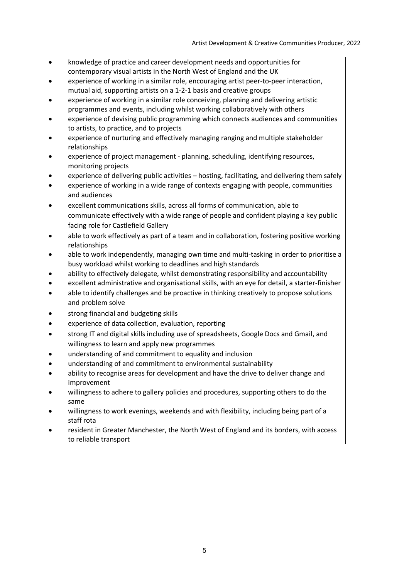- knowledge of practice and career development needs and opportunities for contemporary visual artists in the North West of England and the UK
- experience of working in a similar role, encouraging artist peer-to-peer interaction, mutual aid, supporting artists on a 1-2-1 basis and creative groups
- experience of working in a similar role conceiving, planning and delivering artistic programmes and events, including whilst working collaboratively with others
- experience of devising public programming which connects audiences and communities to artists, to practice, and to projects
- experience of nurturing and effectively managing ranging and multiple stakeholder relationships
- experience of project management planning, scheduling, identifying resources, monitoring projects
- experience of delivering public activities hosting, facilitating, and delivering them safely
- experience of working in a wide range of contexts engaging with people, communities and audiences
- excellent communications skills, across all forms of communication, able to communicate effectively with a wide range of people and confident playing a key public facing role for Castlefield Gallery
- able to work effectively as part of a team and in collaboration, fostering positive working relationships
- able to work independently, managing own time and multi-tasking in order to prioritise a busy workload whilst working to deadlines and high standards
- ability to effectively delegate, whilst demonstrating responsibility and accountability
- excellent administrative and organisational skills, with an eye for detail, a starter-finisher
- able to identify challenges and be proactive in thinking creatively to propose solutions and problem solve
- strong financial and budgeting skills
- experience of data collection, evaluation, reporting
- strong IT and digital skills including use of spreadsheets, Google Docs and Gmail, and willingness to learn and apply new programmes
- understanding of and commitment to equality and inclusion
- understanding of and commitment to environmental sustainability
- ability to recognise areas for development and have the drive to deliver change and improvement
- willingness to adhere to gallery policies and procedures, supporting others to do the same
- willingness to work evenings, weekends and with flexibility, including being part of a staff rota
- resident in Greater Manchester, the North West of England and its borders, with access to reliable transport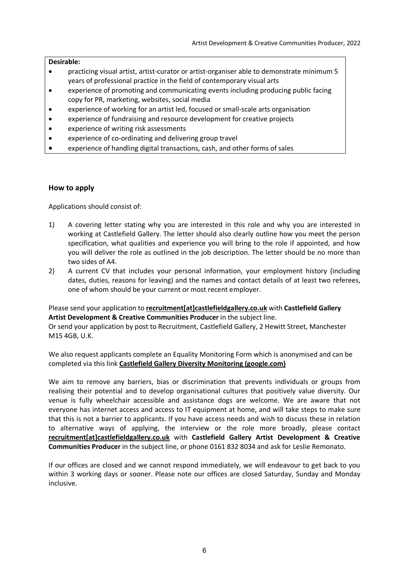#### **Desirable:**

- practicing visual artist, artist-curator or artist-organiser able to demonstrate minimum 5 years of professional practice in the field of contemporary visual arts
- experience of promoting and communicating events including producing public facing copy for PR, marketing, websites, social media
- experience of working for an artist led, focused or small-scale arts organisation
- experience of fundraising and resource development for creative projects
- experience of writing risk assessments
- experience of co-ordinating and delivering group travel
- experience of handling digital transactions, cash, and other forms of sales

#### **How to apply**

Applications should consist of:

- 1) A covering letter stating why you are interested in this role and why you are interested in working at Castlefield Gallery. The letter should also clearly outline how you meet the person specification, what qualities and experience you will bring to the role if appointed, and how you will deliver the role as outlined in the job description. The letter should be no more than two sides of A4.
- 2) A current CV that includes your personal information, your employment history (including dates, duties, reasons for leaving) and the names and contact details of at least two referees, one of whom should be your current or most recent employer.

### Please send your application to **recruitment[at]castlefieldgallery.co.uk** with **Castlefield Gallery Artist Development & Creative Communities Producer** in the subject line.

Or send your application by post to Recruitment, Castlefield Gallery, 2 Hewitt Street, Manchester M15 4GB, U.K.

We also request applicants complete an Equality Monitoring Form which is anonymised and can be completed via this link **Castlefield Gallery Diversity Monitoring (google.com)**

We aim to remove any barriers, bias or discrimination that prevents individuals or groups from realising their potential and to develop organisational cultures that positively value diversity. Our venue is fully wheelchair accessible and assistance dogs are welcome. We are aware that not everyone has internet access and access to IT equipment at home, and will take steps to make sure that this is not a barrier to applicants. If you have access needs and wish to discuss these in relation to alternative ways of applying, the interview or the role more broadly, please contact **recruitment[at]castlefieldgallery.co.uk** with **Castlefield Gallery Artist Development & Creative Communities Producer** in the subject line, or phone 0161 832 8034 and ask for Leslie Remonato.

If our offices are closed and we cannot respond immediately, we will endeavour to get back to you within 3 working days or sooner. Please note our offices are closed Saturday, Sunday and Monday inclusive.